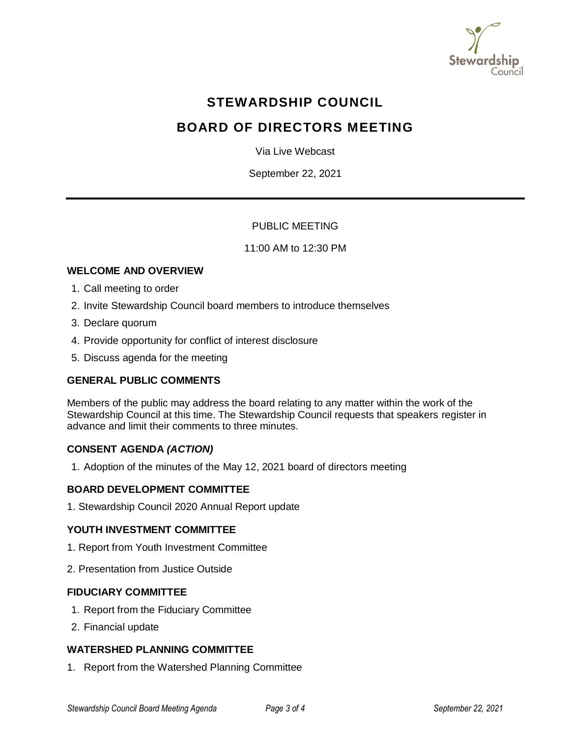

# **STEWARDSHIP COUNCIL**

# **BOARD OF DIRECTORS MEETING**

Via Live Webcast

September 22, 2021

# PUBLIC MEETING

## 11:00 AM to 12:30 PM

# **WELCOME AND OVERVIEW**

- 1. Call meeting to order
- 2. Invite Stewardship Council board members to introduce themselves
- 3. Declare quorum
- 4. Provide opportunity for conflict of interest disclosure
- 5. Discuss agenda for the meeting

# **GENERAL PUBLIC COMMENTS**

Members of the public may address the board relating to any matter within the work of the Stewardship Council at this time. The Stewardship Council requests that speakers register in advance and limit their comments to three minutes.

# **CONSENT AGENDA** *(ACTION)*

1. Adoption of the minutes of the May 12, 2021 board of directors meeting

#### **BOARD DEVELOPMENT COMMITTEE**

1. Stewardship Council 2020 Annual Report update

#### **YOUTH INVESTMENT COMMITTEE**

- 1. Report from Youth Investment Committee
- 2. Presentation from Justice Outside

#### **FIDUCIARY COMMITTEE**

- 1. Report from the Fiduciary Committee
- 2. Financial update

#### **WATERSHED PLANNING COMMITTEE**

1. Report from the Watershed Planning Committee